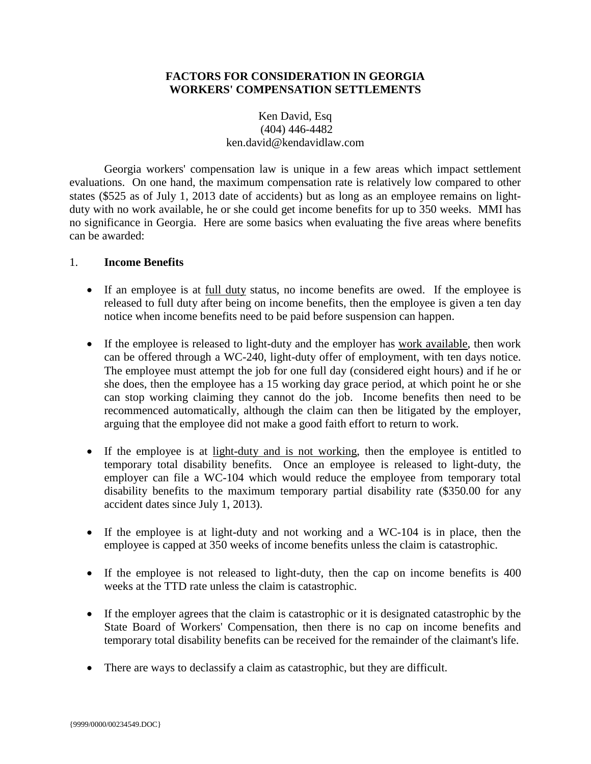## **FACTORS FOR CONSIDERATION IN GEORGIA WORKERS' COMPENSATION SETTLEMENTS**

# Ken David, Esq (404) 446-4482 ken.david@kendavidlaw.com

Georgia workers' compensation law is unique in a few areas which impact settlement evaluations. On one hand, the maximum compensation rate is relatively low compared to other states (\$525 as of July 1, 2013 date of accidents) but as long as an employee remains on lightduty with no work available, he or she could get income benefits for up to 350 weeks. MMI has no significance in Georgia. Here are some basics when evaluating the five areas where benefits can be awarded:

### 1. **Income Benefits**

- If an employee is at full duty status, no income benefits are owed. If the employee is released to full duty after being on income benefits, then the employee is given a ten day notice when income benefits need to be paid before suspension can happen.
- If the employee is released to light-duty and the employer has work available, then work can be offered through a WC-240, light-duty offer of employment, with ten days notice. The employee must attempt the job for one full day (considered eight hours) and if he or she does, then the employee has a 15 working day grace period, at which point he or she can stop working claiming they cannot do the job. Income benefits then need to be recommenced automatically, although the claim can then be litigated by the employer, arguing that the employee did not make a good faith effort to return to work.
- If the employee is at light-duty and is not working, then the employee is entitled to temporary total disability benefits. Once an employee is released to light-duty, the employer can file a WC-104 which would reduce the employee from temporary total disability benefits to the maximum temporary partial disability rate (\$350.00 for any accident dates since July 1, 2013).
- If the employee is at light-duty and not working and a WC-104 is in place, then the employee is capped at 350 weeks of income benefits unless the claim is catastrophic.
- If the employee is not released to light-duty, then the cap on income benefits is 400 weeks at the TTD rate unless the claim is catastrophic.
- If the employer agrees that the claim is catastrophic or it is designated catastrophic by the State Board of Workers' Compensation, then there is no cap on income benefits and temporary total disability benefits can be received for the remainder of the claimant's life.
- There are ways to declassify a claim as catastrophic, but they are difficult.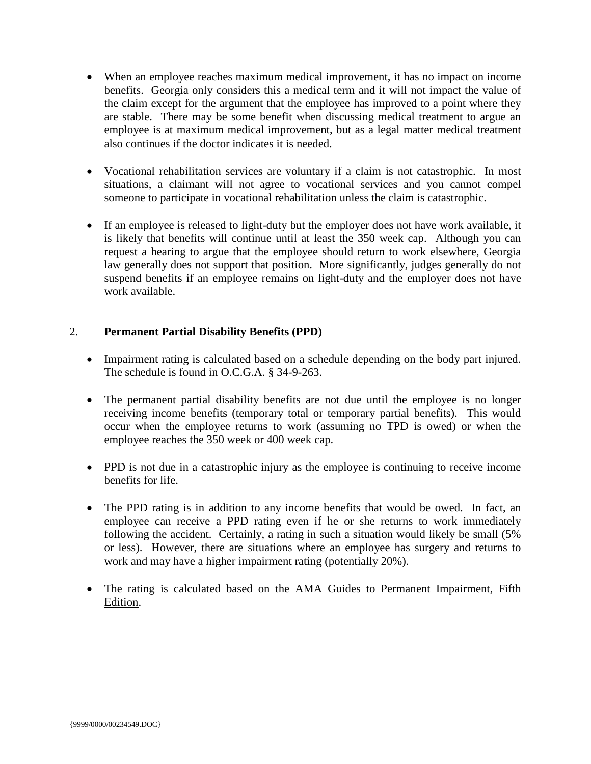- When an employee reaches maximum medical improvement, it has no impact on income benefits. Georgia only considers this a medical term and it will not impact the value of the claim except for the argument that the employee has improved to a point where they are stable. There may be some benefit when discussing medical treatment to argue an employee is at maximum medical improvement, but as a legal matter medical treatment also continues if the doctor indicates it is needed.
- Vocational rehabilitation services are voluntary if a claim is not catastrophic. In most situations, a claimant will not agree to vocational services and you cannot compel someone to participate in vocational rehabilitation unless the claim is catastrophic.
- If an employee is released to light-duty but the employer does not have work available, it is likely that benefits will continue until at least the 350 week cap. Although you can request a hearing to argue that the employee should return to work elsewhere, Georgia law generally does not support that position. More significantly, judges generally do not suspend benefits if an employee remains on light-duty and the employer does not have work available.

# 2. **Permanent Partial Disability Benefits (PPD)**

- Impairment rating is calculated based on a schedule depending on the body part injured. The schedule is found in O.C.G.A. § 34-9-263.
- The permanent partial disability benefits are not due until the employee is no longer receiving income benefits (temporary total or temporary partial benefits). This would occur when the employee returns to work (assuming no TPD is owed) or when the employee reaches the 350 week or 400 week cap.
- PPD is not due in a catastrophic injury as the employee is continuing to receive income benefits for life.
- The PPD rating is in addition to any income benefits that would be owed. In fact, an employee can receive a PPD rating even if he or she returns to work immediately following the accident. Certainly, a rating in such a situation would likely be small (5% or less). However, there are situations where an employee has surgery and returns to work and may have a higher impairment rating (potentially 20%).
- The rating is calculated based on the AMA Guides to Permanent Impairment, Fifth Edition.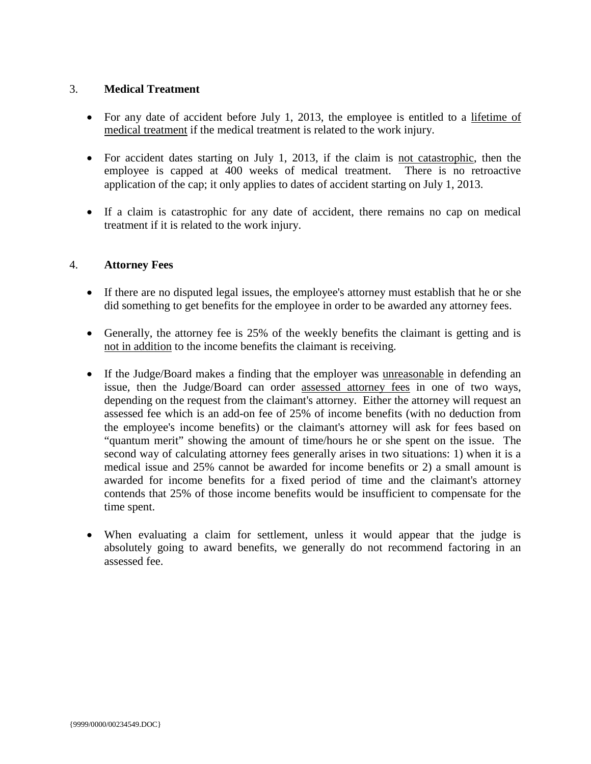### 3. **Medical Treatment**

- For any date of accident before July 1, 2013, the employee is entitled to a lifetime of medical treatment if the medical treatment is related to the work injury.
- For accident dates starting on July 1, 2013, if the claim is not catastrophic, then the employee is capped at 400 weeks of medical treatment. There is no retroactive application of the cap; it only applies to dates of accident starting on July 1, 2013.
- If a claim is catastrophic for any date of accident, there remains no cap on medical treatment if it is related to the work injury.

# 4. **Attorney Fees**

- If there are no disputed legal issues, the employee's attorney must establish that he or she did something to get benefits for the employee in order to be awarded any attorney fees.
- Generally, the attorney fee is 25% of the weekly benefits the claimant is getting and is not in addition to the income benefits the claimant is receiving.
- If the Judge/Board makes a finding that the employer was unreasonable in defending an issue, then the Judge/Board can order assessed attorney fees in one of two ways, depending on the request from the claimant's attorney. Either the attorney will request an assessed fee which is an add-on fee of 25% of income benefits (with no deduction from the employee's income benefits) or the claimant's attorney will ask for fees based on "quantum merit" showing the amount of time/hours he or she spent on the issue. The second way of calculating attorney fees generally arises in two situations: 1) when it is a medical issue and 25% cannot be awarded for income benefits or 2) a small amount is awarded for income benefits for a fixed period of time and the claimant's attorney contends that 25% of those income benefits would be insufficient to compensate for the time spent.
- When evaluating a claim for settlement, unless it would appear that the judge is absolutely going to award benefits, we generally do not recommend factoring in an assessed fee.